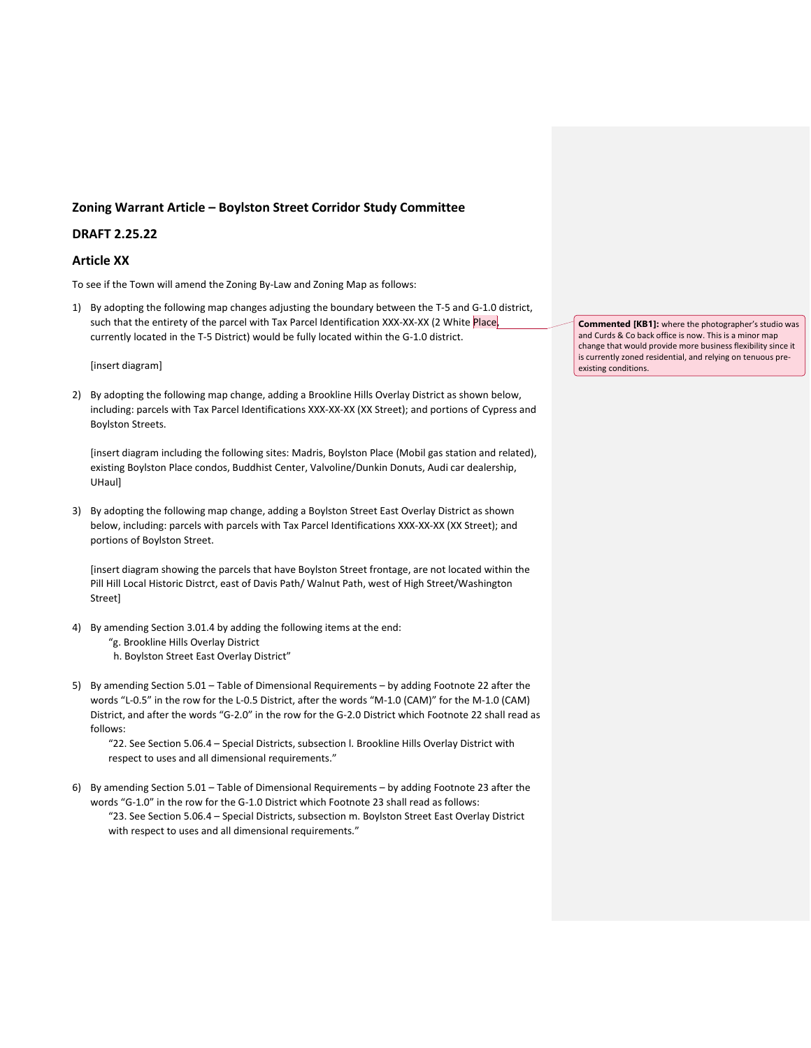# **Zoning Warrant Article – Boylston Street Corridor Study Committee**

# **DRAFT 2.25.22**

# **Article XX**

To see if the Town will amend the Zoning By-Law and Zoning Map as follows:

1) By adopting the following map changes adjusting the boundary between the T-5 and G-1.0 district, such that the entirety of the parcel with Tax Parcel Identification XXX-XX-XX (2 White Place, currently located in the T-5 District) would be fully located within the G-1.0 district.

[insert diagram]

2) By adopting the following map change, adding a Brookline Hills Overlay District as shown below, including: parcels with Tax Parcel Identifications XXX-XX-XX (XX Street); and portions of Cypress and Boylston Streets.

[insert diagram including the following sites: Madris, Boylston Place (Mobil gas station and related), existing Boylston Place condos, Buddhist Center, Valvoline/Dunkin Donuts, Audi car dealership, UHaul]

3) By adopting the following map change, adding a Boylston Street East Overlay District as shown below, including: parcels with parcels with Tax Parcel Identifications XXX-XX-XX (XX Street); and portions of Boylston Street.

[insert diagram showing the parcels that have Boylston Street frontage, are not located within the Pill Hill Local Historic Distrct, east of Davis Path/ Walnut Path, west of High Street/Washington Street]

- 4) By amending Section 3.01.4 by adding the following items at the end:
	- "g. Brookline Hills Overlay District
	- h. Boylston Street East Overlay District"
- 5) By amending Section 5.01 Table of Dimensional Requirements by adding Footnote 22 after the words "L-0.5" in the row for the L-0.5 District, after the words "M-1.0 (CAM)" for the M-1.0 (CAM) District, and after the words "G-2.0" in the row for the G-2.0 District which Footnote 22 shall read as follows:

"22. See Section 5.06.4 – Special Districts, subsection l. Brookline Hills Overlay District with respect to uses and all dimensional requirements."

6) By amending Section 5.01 – Table of Dimensional Requirements – by adding Footnote 23 after the words "G-1.0" in the row for the G-1.0 District which Footnote 23 shall read as follows: "23. See Section 5.06.4 – Special Districts, subsection m. Boylston Street East Overlay District with respect to uses and all dimensional requirements."

**Commented [KB1]:** where the photographer's studio was and Curds & Co back office is now. This is a minor map change that would provide more business flexibility since it is currently zoned residential, and relying on tenuous preexisting conditions.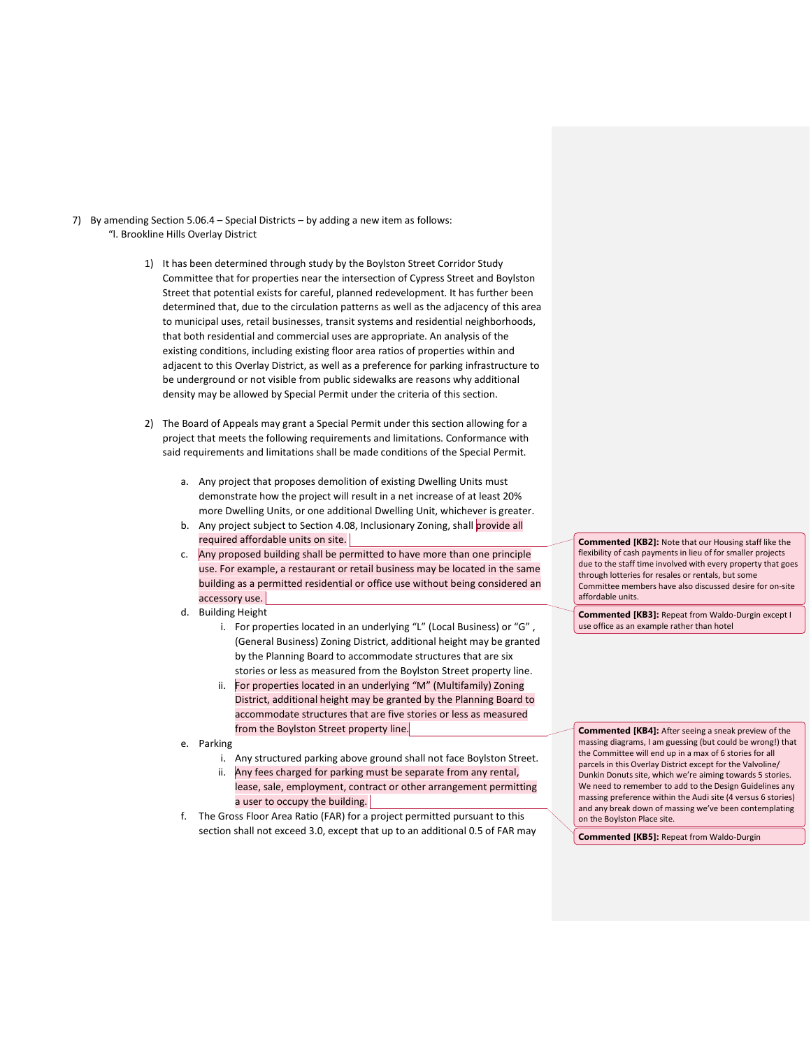- 7) By amending Section 5.06.4 Special Districts by adding a new item as follows: "l. Brookline Hills Overlay District
	- 1) It has been determined through study by the Boylston Street Corridor Study Committee that for properties near the intersection of Cypress Street and Boylston Street that potential exists for careful, planned redevelopment. It has further been determined that, due to the circulation patterns as well as the adjacency of this area to municipal uses, retail businesses, transit systems and residential neighborhoods, that both residential and commercial uses are appropriate. An analysis of the existing conditions, including existing floor area ratios of properties within and adjacent to this Overlay District, as well as a preference for parking infrastructure to be underground or not visible from public sidewalks are reasons why additional density may be allowed by Special Permit under the criteria of this section.
	- 2) The Board of Appeals may grant a Special Permit under this section allowing for a project that meets the following requirements and limitations. Conformance with said requirements and limitations shall be made conditions of the Special Permit.
		- a. Any project that proposes demolition of existing Dwelling Units must demonstrate how the project will result in a net increase of at least 20% more Dwelling Units, or one additional Dwelling Unit, whichever is greater.
		- b. Any project subject to Section 4.08, Inclusionary Zoning, shall provide all required affordable units on site.
		- c. Any proposed building shall be permitted to have more than one principle use. For example, a restaurant or retail business may be located in the same building as a permitted residential or office use without being considered an accessory use.
		- d. Building Height
			- i. For properties located in an underlying "L" (Local Business) or "G" , (General Business) Zoning District, additional height may be granted by the Planning Board to accommodate structures that are six stories or less as measured from the Boylston Street property line.
			- ii. For properties located in an underlying "M" (Multifamily) Zoning District, additional height may be granted by the Planning Board to accommodate structures that are five stories or less as measured from the Boylston Street property line.
		- e. Parking
			- i. Any structured parking above ground shall not face Boylston Street.
			- ii. Any fees charged for parking must be separate from any rental, lease, sale, employment, contract or other arrangement permitting a user to occupy the building.
		- f. The Gross Floor Area Ratio (FAR) for a project permitted pursuant to this section shall not exceed 3.0, except that up to an additional 0.5 of FAR may

**Commented [KB2]:** Note that our Housing staff like the flexibility of cash payments in lieu of for smaller projects due to the staff time involved with every property that goes through lotteries for resales or rentals, but some Committee members have also discussed desire for on-site affordable units.

**Commented [KB3]:** Repeat from Waldo-Durgin except I use office as an example rather than hotel

**Commented [KB4]:** After seeing a sneak preview of the massing diagrams, I am guessing (but could be wrong!) that the Committee will end up in a max of 6 stories for all parcels in this Overlay District except for the Valvoline/ Dunkin Donuts site, which we're aiming towards 5 stories. We need to remember to add to the Design Guidelines any massing preference within the Audi site (4 versus 6 stories) and any break down of massing we've been contemplating on the Boylston Place site.

**Commented [KB5]:** Repeat from Waldo-Durgin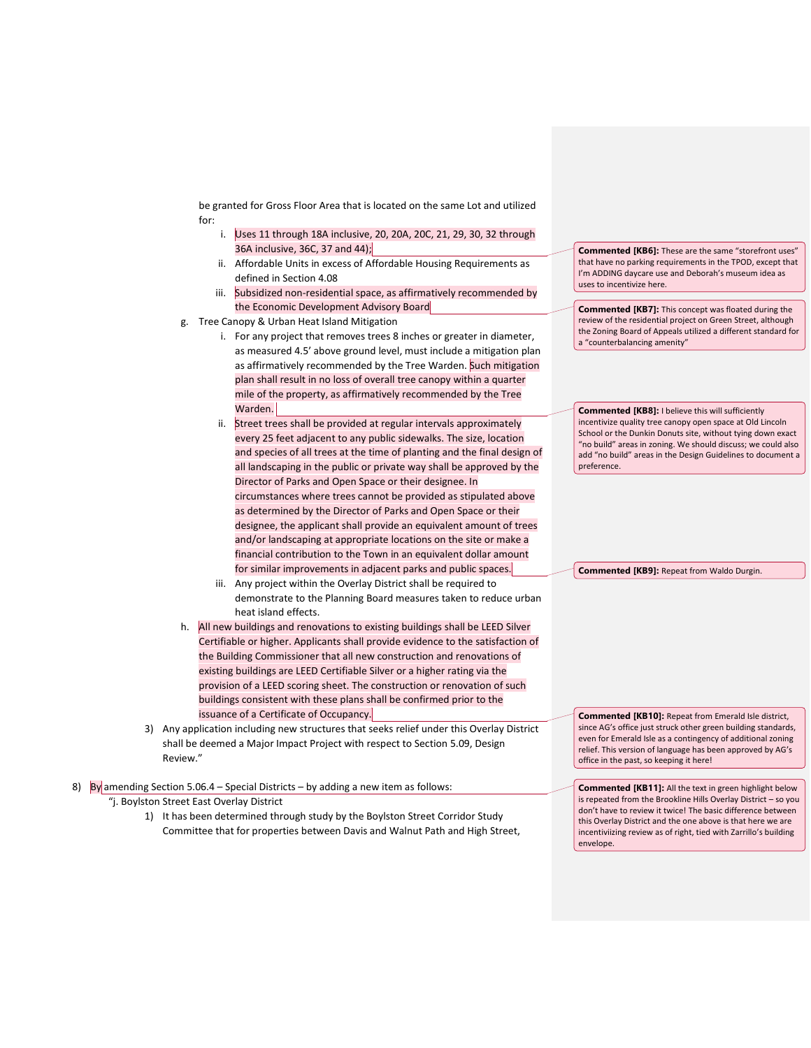be granted for Gross Floor Area that is located on the same Lot and utilized for:

- i. Uses 11 through 18A inclusive, 20, 20A, 20C, 21, 29, 30, 32 through 36A inclusive, 36C, 37 and 44);
- ii. Affordable Units in excess of Affordable Housing Requirements as defined in Section 4.08
- iii. Subsidized non-residential space, as affirmatively recommended by the Economic Development Advisory Board
- g. Tree Canopy & Urban Heat Island Mitigation
	- i. For any project that removes trees 8 inches or greater in diameter, as measured 4.5' above ground level, must include a mitigation plan as affirmatively recommended by the Tree Warden. Such mitigation plan shall result in no loss of overall tree canopy within a quarter mile of the property, as affirmatively recommended by the Tree Warden.
	- ii. Street trees shall be provided at regular intervals approximately every 25 feet adjacent to any public sidewalks. The size, location and species of all trees at the time of planting and the final design of all landscaping in the public or private way shall be approved by the Director of Parks and Open Space or their designee. In circumstances where trees cannot be provided as stipulated above as determined by the Director of Parks and Open Space or their designee, the applicant shall provide an equivalent amount of trees and/or landscaping at appropriate locations on the site or make a financial contribution to the Town in an equivalent dollar amount for similar improvements in adjacent parks and public spaces.
	- iii. Any project within the Overlay District shall be required to demonstrate to the Planning Board measures taken to reduce urban heat island effects.
- h. All new buildings and renovations to existing buildings shall be LEED Silver Certifiable or higher. Applicants shall provide evidence to the satisfaction of the Building Commissioner that all new construction and renovations of existing buildings are LEED Certifiable Silver or a higher rating via the provision of a LEED scoring sheet. The construction or renovation of such buildings consistent with these plans shall be confirmed prior to the issuance of a Certificate of Occupancy.
- 3) Any application including new structures that seeks relief under this Overlay District shall be deemed a Major Impact Project with respect to Section 5.09, Design Review."
- 8) By amending Section 5.06.4 Special Districts by adding a new item as follows: "j. Boylston Street East Overlay District
	- 1) It has been determined through study by the Boylston Street Corridor Study Committee that for properties between Davis and Walnut Path and High Street,

**Commented [KB6]:** These are the same "storefront uses" that have no parking requirements in the TPOD, except that I'm ADDING daycare use and Deborah's museum idea as uses to incentivize here.

**Commented [KB7]:** This concept was floated during the review of the residential project on Green Street, although the Zoning Board of Appeals utilized a different standard for a "counterbalancing amenity"

**Commented [KB8]:** I believe this will sufficiently incentivize quality tree canopy open space at Old Lincoln School or the Dunkin Donuts site, without tying down exact "no build" areas in zoning. We should discuss; we could also add "no build" areas in the Design Guidelines to document a preference.

**Commented [KB9]:** Repeat from Waldo Durgin.

**Commented [KB10]:** Repeat from Emerald Isle district, since AG's office just struck other green building standards. even for Emerald Isle as a contingency of additional zoning relief. This version of language has been approved by AG's office in the past, so keeping it here!

**Commented [KB11]:** All the text in green highlight below is repeated from the Brookline Hills Overlay District – so you don't have to review it twice! The basic difference between this Overlay District and the one above is that here we are incentiviizing review as of right, tied with Zarrillo's building envelope.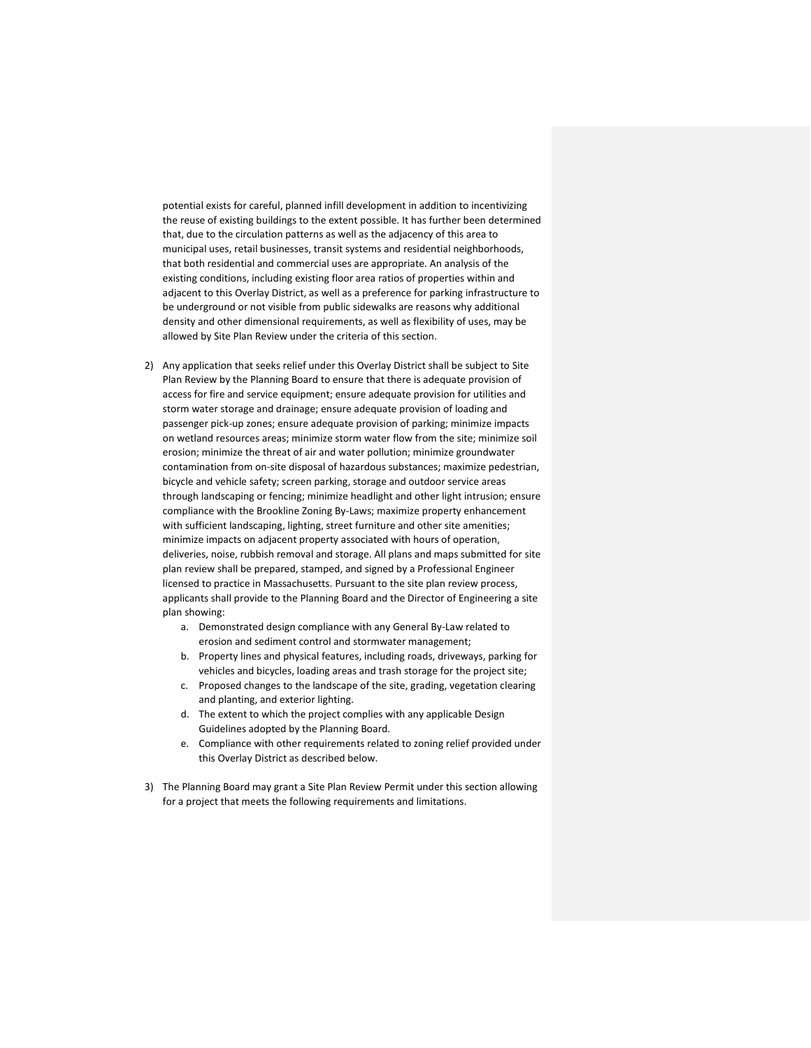potential exists for careful, planned infill development in addition to incentivizing the reuse of existing buildings to the extent possible. It has further been determined that, due to the circulation patterns as well as the adjacency of this area to municipal uses, retail businesses, transit systems and residential neighborhoods, that both residential and commercial uses are appropriate. An analysis of the existing conditions, including existing floor area ratios of properties within and adjacent to this Overlay District, as well as a preference for parking infrastructure to be underground or not visible from public sidewalks are reasons why additional density and other dimensional requirements, as well as flexibility of uses, may be allowed by Site Plan Review under the criteria of this section.

- 2) Any application that seeks relief under this Overlay District shall be subject to Site Plan Review by the Planning Board to ensure that there is adequate provision of access for fire and service equipment; ensure adequate provision for utilities and storm water storage and drainage; ensure adequate provision of loading and passenger pick-up zones; ensure adequate provision of parking; minimize impacts on wetland resources areas; minimize storm water flow from the site; minimize soil erosion; minimize the threat of air and water pollution; minimize groundwater contamination from on-site disposal of hazardous substances; maximize pedestrian, bicycle and vehicle safety; screen parking, storage and outdoor service areas through landscaping or fencing; minimize headlight and other light intrusion; ensure compliance with the Brookline Zoning By-Laws; maximize property enhancement with sufficient landscaping, lighting, street furniture and other site amenities; minimize impacts on adjacent property associated with hours of operation, deliveries, noise, rubbish removal and storage. All plans and maps submitted for site plan review shall be prepared, stamped, and signed by a Professional Engineer licensed to practice in Massachusetts. Pursuant to the site plan review process, applicants shall provide to the Planning Board and the Director of Engineering a site plan showing:
	- a. Demonstrated design compliance with any General By-Law related to erosion and sediment control and stormwater management;
	- b. Property lines and physical features, including roads, driveways, parking for vehicles and bicycles, loading areas and trash storage for the project site;
	- c. Proposed changes to the landscape of the site, grading, vegetation clearing and planting, and exterior lighting.
	- d. The extent to which the project complies with any applicable Design Guidelines adopted by the Planning Board.
	- e. Compliance with other requirements related to zoning relief provided under this Overlay District as described below.
- 3) The Planning Board may grant a Site Plan Review Permit under this section allowing for a project that meets the following requirements and limitations.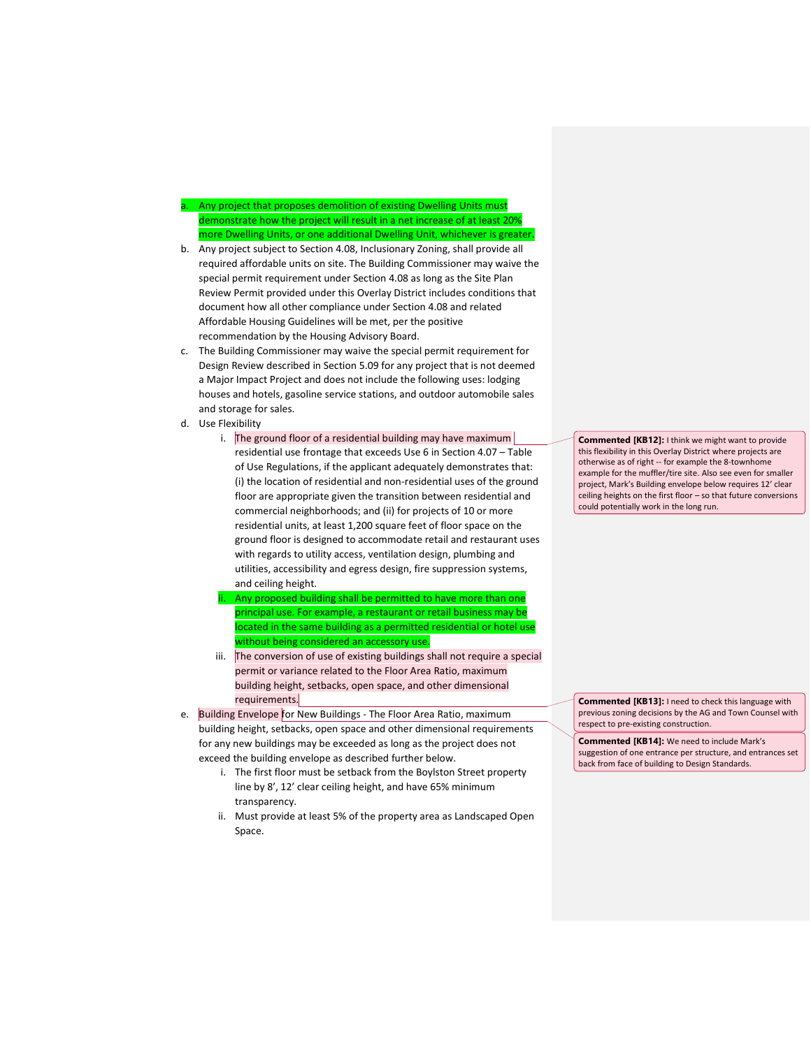Any project that proposes demolition of existing Dwelling Units must demonstrate how the project will result in a net increase of at least 20% more Dwelling Units, or one additional Dwelling Unit, whichever is greater.

- b. Any project subject to Section 4.08, Inclusionary Zoning, shall provide all required affordable units on site. The Building Commissioner may waive the special permit requirement under Section 4.08 as long as the Site Plan Review Permit provided under this Overlay District includes conditions that document how all other compliance under Section 4.08 and related Affordable Housing Guidelines will be met, per the positive recommendation by the Housing Advisory Board.
- c. The Building Commissioner may waive the special permit requirement for Design Review described in Section 5.09 for any project that is not deemed a Major Impact Project and does not include the following uses: lodging houses and hotels, gasoline service stations, and outdoor automobile sales and storage for sales.
- d. Use Flexibility
	- i. The ground floor of a residential building may have maximum residential use frontage that exceeds Use 6 in Section 4.07 – Table of Use Regulations, if the applicant adequately demonstrates that: (i) the location of residential and non-residential uses of the ground floor are appropriate given the transition between residential and commercial neighborhoods; and (ii) for projects of 10 or more residential units, at least 1,200 square feet of floor space on the ground floor is designed to accommodate retail and restaurant uses with regards to utility access, ventilation design, plumbing and utilities, accessibility and egress design, fire suppression systems, and ceiling height.
	- Any proposed building shall be permitted to have more than one principal use. For example, a restaurant or retail business may be ocated in the same building as a permitted residential or hotel use without being considered an accessory use.
	- iii. The conversion of use of existing buildings shall not require a special permit or variance related to the Floor Area Ratio, maximum building height, setbacks, open space, and other dimensional requirements.
- e. Building Envelope for New Buildings The Floor Area Ratio, maximum building height, setbacks, open space and other dimensional requirements for any new buildings may be exceeded as long as the project does not exceed the building envelope as described further below.
	- i. The first floor must be setback from the Boylston Street property line by 8', 12' clear ceiling height, and have 65% minimum transparency.
	- ii. Must provide at least 5% of the property area as Landscaped Open Space.

**Commented [KB12]:** I think we might want to provide this flexibility in this Overlay District where projects are otherwise as of right -- for example the 8-townhome example for the muffler/tire site. Also see even for smaller project, Mark's Building envelope below requires 12' clear ceiling heights on the first floor – so that future conversions could potentially work in the long run.

**Commented [KB13]:** I need to check this language with previous zoning decisions by the AG and Town Counsel with respect to pre-existing construction.

**Commented [KB14]:** We need to include Mark's suggestion of one entrance per structure, and entrances set back from face of building to Design Standards.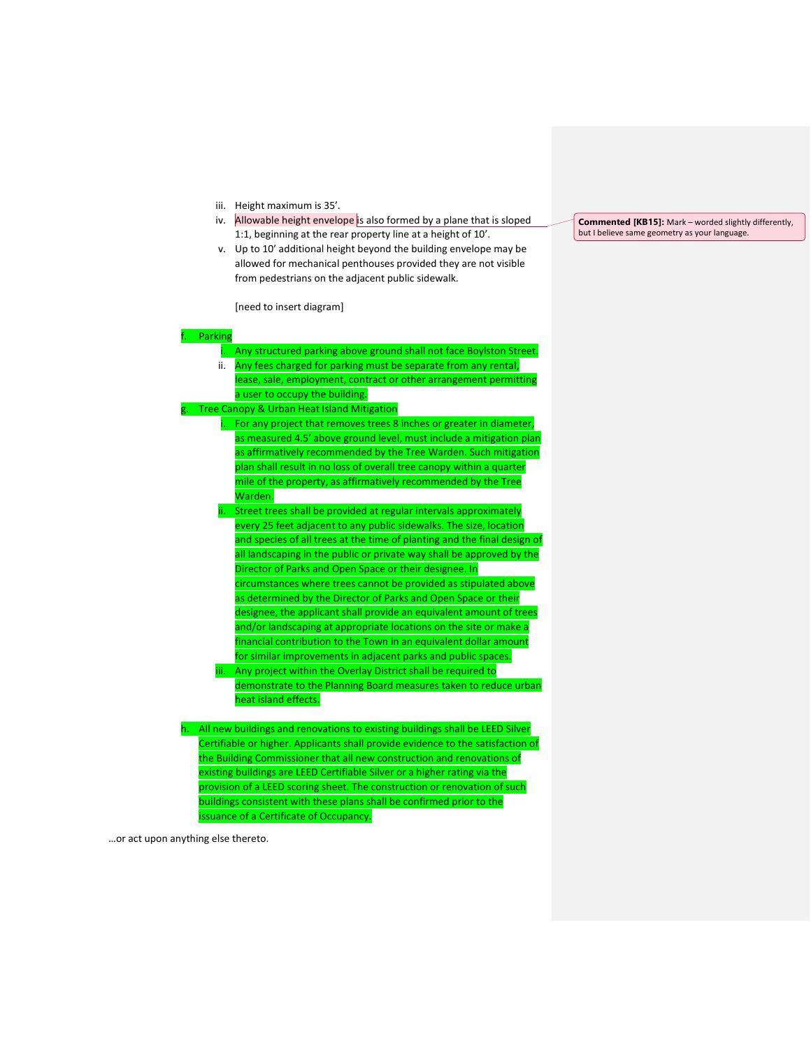- iii. Height maximum is 35'.
- iv. Allowable height envelope is also formed by a plane that is sloped 1:1, beginning at the rear property line at a height of 10'.
- v. Up to 10' additional height beyond the building envelope may be allowed for mechanical penthouses provided they are not visible from pedestrians on the adjacent public sidewalk.

[need to insert diagram]

#### **F**. Parking

|    | i.   | Any structured parking above ground shall not face Boylston Street.             |
|----|------|---------------------------------------------------------------------------------|
|    | ii.  | Any fees charged for parking must be separate from any rental,                  |
|    |      | lease, sale, employment, contract or other arrangement permitting               |
|    |      | a user to occupy the building.                                                  |
| g. |      | <b>Tree Canopy &amp; Urban Heat Island Mitigation</b>                           |
|    | i.   | For any project that removes trees 8 inches or greater in diameter,             |
|    |      | as measured 4.5' above ground level, must include a mitigation plan             |
|    |      | as affirmatively recommended by the Tree Warden. Such mitigation                |
|    |      | plan shall result in no loss of overall tree canopy within a quarter            |
|    |      | mile of the property, as affirmatively recommended by the Tree                  |
|    |      | Warden.                                                                         |
|    | ii.  | Street trees shall be provided at regular intervals approximately               |
|    |      | every 25 feet adjacent to any public sidewalks. The size, location              |
|    |      | and species of all trees at the time of planting and the final design of        |
|    |      | all landscaping in the public or private way shall be approved by the           |
|    |      | Director of Parks and Open Space or their designee. In                          |
|    |      | circumstances where trees cannot be provided as stipulated above                |
|    |      | as determined by the Director of Parks and Open Space or their                  |
|    |      | designee, the applicant shall provide an equivalent amount of trees             |
|    |      | and/or landscaping at appropriate locations on the site or make a               |
|    |      | financial contribution to the Town in an equivalent dollar amount               |
|    |      | for similar improvements in adjacent parks and public spaces.                   |
|    | iii. | Any project within the Overlay District shall be required to                    |
|    |      | demonstrate to the Planning Board measures taken to reduce urban                |
|    |      | heat island effects.                                                            |
|    |      |                                                                                 |
| h. |      | All new buildings and renovations to existing buildings shall be LEED Silver    |
|    |      | Certifiable or higher. Applicants shall provide evidence to the satisfaction of |
|    |      | the Building Commissioner that all new construction and renovations of          |
|    |      | existing buildings are LEED Certifiable Silver or a higher rating via the       |

provision of a LEED scoring sheet. The construction or renovation of such buildings consistent with these plans shall be confirmed prior to the

issuance of a Certificate of Occupancy.

**Commented [KB15]:** Mark – worded slightly differently, but I believe same geometry as your language.

…or act upon anything else thereto.